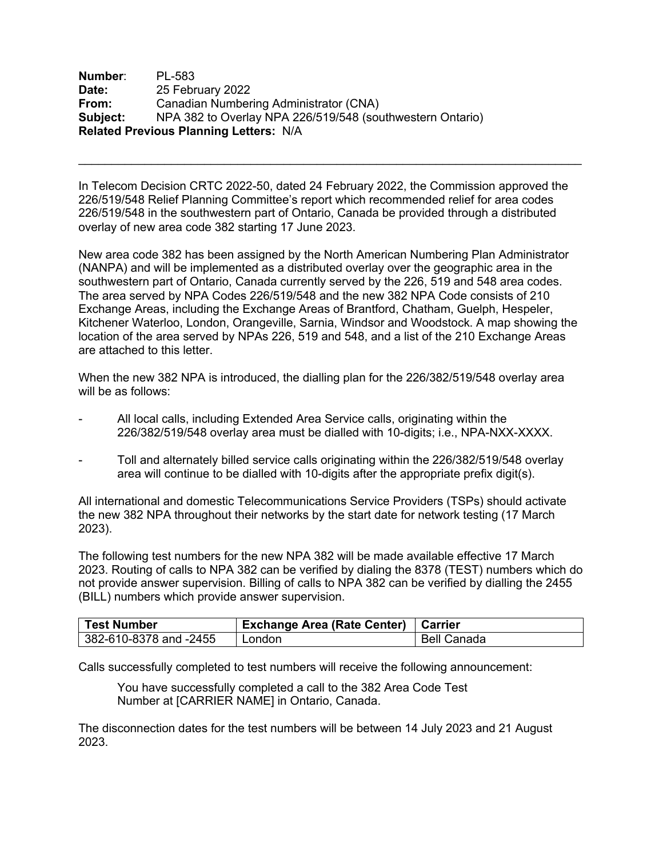**Number**: PL-583 **Date:** 25 February 2022 **From:** Canadian Numbering Administrator (CNA) **Subject:** NPA 382 to Overlay NPA 226/519/548 (southwestern Ontario) **Related Previous Planning Letters:** N/A

In Telecom Decision CRTC 2022-50, dated 24 February 2022, the Commission approved the 226/519/548 Relief Planning Committee's report which recommended relief for area codes 226/519/548 in the southwestern part of Ontario, Canada be provided through a distributed overlay of new area code 382 starting 17 June 2023.

 $\mathcal{L}_\text{max} = \mathcal{L}_\text{max} = \mathcal{L}_\text{max} = \mathcal{L}_\text{max} = \mathcal{L}_\text{max} = \mathcal{L}_\text{max} = \mathcal{L}_\text{max} = \mathcal{L}_\text{max} = \mathcal{L}_\text{max} = \mathcal{L}_\text{max} = \mathcal{L}_\text{max} = \mathcal{L}_\text{max} = \mathcal{L}_\text{max} = \mathcal{L}_\text{max} = \mathcal{L}_\text{max} = \mathcal{L}_\text{max} = \mathcal{L}_\text{max} = \mathcal{L}_\text{max} = \mathcal{$ 

New area code 382 has been assigned by the North American Numbering Plan Administrator (NANPA) and will be implemented as a distributed overlay over the geographic area in the southwestern part of Ontario, Canada currently served by the 226, 519 and 548 area codes. The area served by NPA Codes 226/519/548 and the new 382 NPA Code consists of 210 Exchange Areas, including the Exchange Areas of Brantford, Chatham, Guelph, Hespeler, Kitchener Waterloo, London, Orangeville, Sarnia, Windsor and Woodstock. A map showing the location of the area served by NPAs 226, 519 and 548, and a list of the 210 Exchange Areas are attached to this letter.

When the new 382 NPA is introduced, the dialling plan for the 226/382/519/548 overlay area will be as follows:

- All local calls, including Extended Area Service calls, originating within the 226/382/519/548 overlay area must be dialled with 10-digits; i.e., NPA-NXX-XXXX.
- Toll and alternately billed service calls originating within the 226/382/519/548 overlay area will continue to be dialled with 10-digits after the appropriate prefix digit(s).

All international and domestic Telecommunications Service Providers (TSPs) should activate the new 382 NPA throughout their networks by the start date for network testing (17 March 2023).

The following test numbers for the new NPA 382 will be made available effective 17 March 2023. Routing of calls to NPA 382 can be verified by dialing the 8378 (TEST) numbers which do not provide answer supervision. Billing of calls to NPA 382 can be verified by dialling the 2455 (BILL) numbers which provide answer supervision.

| <b>Test Number</b>     | <b>Exchange Area (Rate Center)   Carrier</b> |             |
|------------------------|----------------------------------------------|-------------|
| 382-610-8378 and -2455 | London                                       | Bell Canada |

Calls successfully completed to test numbers will receive the following announcement:

You have successfully completed a call to the 382 Area Code Test Number at [CARRIER NAME] in Ontario, Canada.

The disconnection dates for the test numbers will be between 14 July 2023 and 21 August 2023.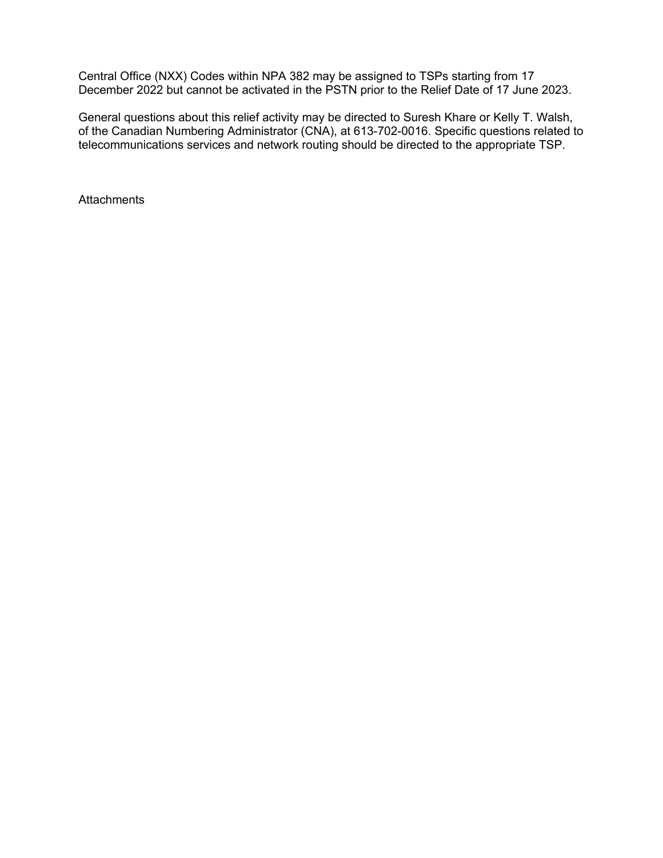Central Office (NXX) Codes within NPA 382 may be assigned to TSPs starting from 17 December 2022 but cannot be activated in the PSTN prior to the Relief Date of 17 June 2023.

General questions about this relief activity may be directed to Suresh Khare or Kelly T. Walsh, of the Canadian Numbering Administrator (CNA), at 613-702-0016. Specific questions related to telecommunications services and network routing should be directed to the appropriate TSP.

**Attachments**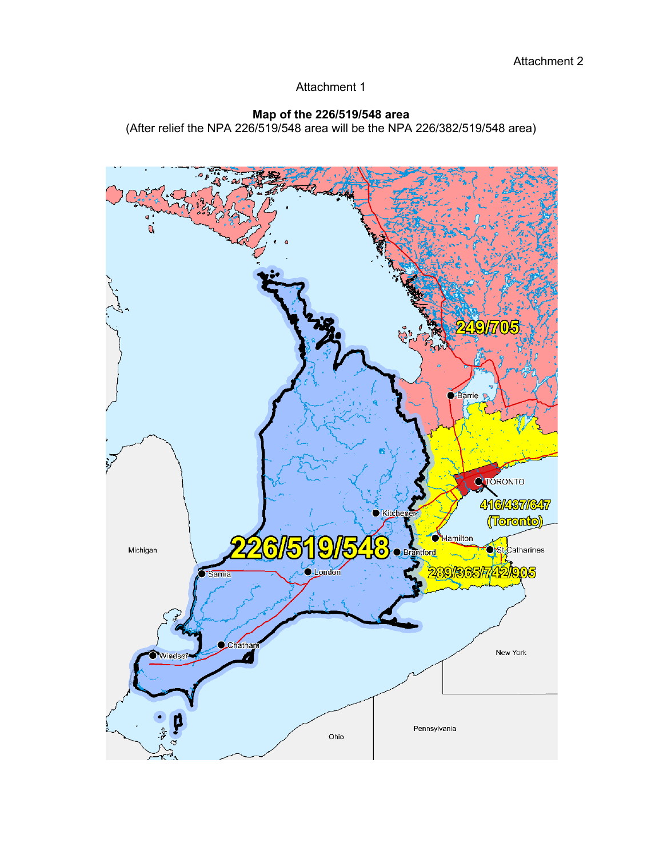Attachment 1

## **Map of the 226/519/548 area**

(After relief the NPA 226/519/548 area will be the NPA 226/382/519/548 area)

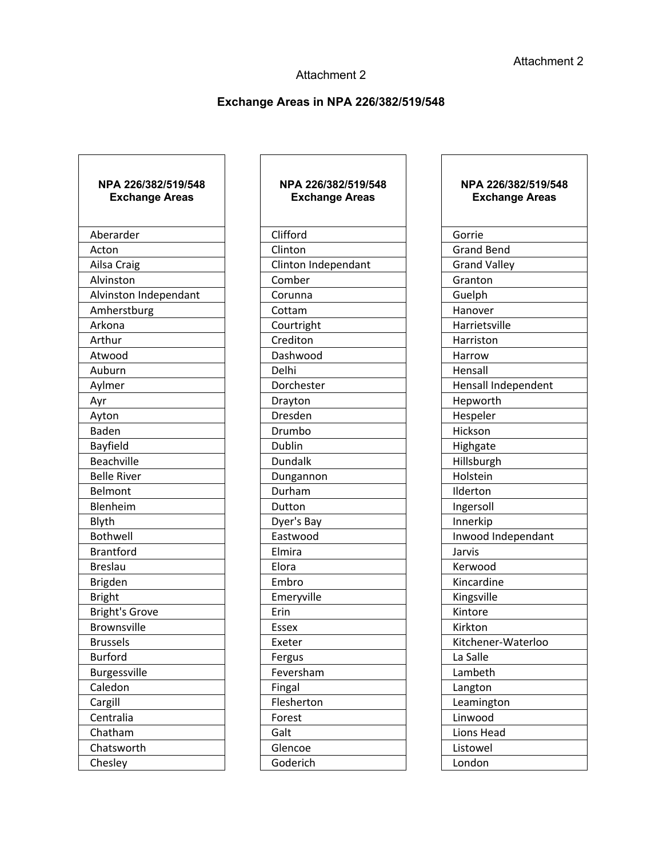## Attachment 2

## **Exchange Areas in NPA 226/382/519/548**

٦

| NPA 226/382/519/548<br><b>Exchange Areas</b> |
|----------------------------------------------|
| Aberarder                                    |
| Acton                                        |
| Ailsa Craig                                  |
| Alvinston                                    |
| Alvinston Independant                        |
| Amherstburg                                  |
| Arkona                                       |
| Arthur                                       |
| Atwood                                       |
| Auburn                                       |
| Aylmer                                       |
| Ayr                                          |
| Ayton                                        |
| <b>Baden</b>                                 |
| Bayfield                                     |
| <b>Beachville</b>                            |
| <b>Belle River</b>                           |
| Belmont                                      |
| Blenheim                                     |
| Blyth                                        |
| <b>Bothwell</b>                              |
| <b>Brantford</b>                             |
| <b>Breslau</b>                               |
| Brigden                                      |
| <b>Bright</b>                                |
| <b>Bright's Grove</b>                        |
| <b>Brownsville</b>                           |
| <b>Brussels</b>                              |
| <b>Burford</b>                               |
| <b>Burgessville</b>                          |
| Caledon                                      |
| Cargill                                      |
| Centralia                                    |
| Chatham                                      |
| Chatsworth                                   |
| Chesley                                      |

 $\overline{\Gamma}$ 

| NPA 226/382/519/548<br><b>Exchange Areas</b> |  |
|----------------------------------------------|--|
| Clifford                                     |  |
| Clinton                                      |  |
| Clinton Independant                          |  |
| Comber                                       |  |
| Corunna                                      |  |
| Cottam                                       |  |
| Courtright                                   |  |
| Crediton                                     |  |
| Dashwood                                     |  |
| Delhi                                        |  |
| Dorchester                                   |  |
| Drayton                                      |  |
| Dresden                                      |  |
| Drumbo                                       |  |
| Dublin                                       |  |
| Dundalk                                      |  |
| Dungannon                                    |  |
| Durham                                       |  |
| Dutton                                       |  |
| Dyer's Bay                                   |  |
| Eastwood                                     |  |
| Elmira                                       |  |
| Elora                                        |  |
| Embro                                        |  |
| Emeryville                                   |  |
| Erin                                         |  |
| Essex                                        |  |
| Exeter                                       |  |
| Fergus                                       |  |
| Feversham                                    |  |
| Fingal                                       |  |
| Flesherton                                   |  |
| Forest                                       |  |
| Galt                                         |  |
| Glencoe                                      |  |
| Goderich                                     |  |
|                                              |  |

## **NPA 226/382/519/548 Exchange Areas**

| Gorrie              |
|---------------------|
| <b>Grand Bend</b>   |
| <b>Grand Valley</b> |
| Granton             |
| Guelph              |
| Hanover             |
| Harrietsville       |
| Harriston           |
| Harrow              |
| Hensall             |
| Hensall Independent |
| Hepworth            |
| Hespeler            |
| Hickson             |
| Highgate            |
| Hillsburgh          |
| Holstein            |
| Ilderton            |
| Ingersoll           |
| Innerkip            |
| Inwood Independant  |
| Jarvis              |
| Kerwood             |
| Kincardine          |
| Kingsville          |
| Kintore             |
| Kirkton             |
| Kitchener-Waterloo  |
| La Salle            |
| Lambeth             |
| Langton             |
| Leamington          |
| Linwood             |
| Lions Head          |
| Listowel            |
| London              |